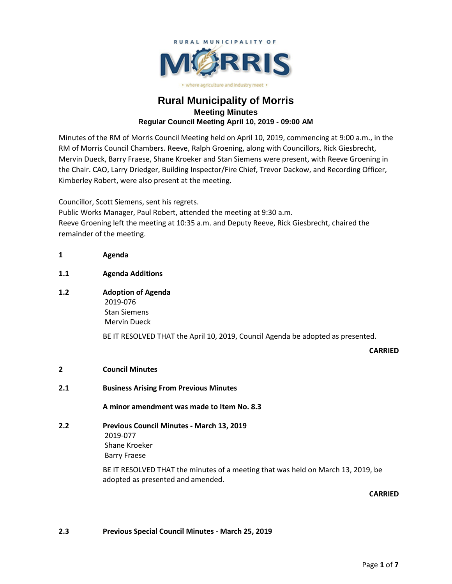

# **Rural Municipality of Morris Meeting Minutes Regular Council Meeting April 10, 2019 - 09:00 AM**

Minutes of the RM of Morris Council Meeting held on April 10, 2019, commencing at 9:00 a.m., in the RM of Morris Council Chambers. Reeve, Ralph Groening, along with Councillors, Rick Giesbrecht, Mervin Dueck, Barry Fraese, Shane Kroeker and Stan Siemens were present, with Reeve Groening in the Chair. CAO, Larry Driedger, Building Inspector/Fire Chief, Trevor Dackow, and Recording Officer, Kimberley Robert, were also present at the meeting.

Councillor, Scott Siemens, sent his regrets. Public Works Manager, Paul Robert, attended the meeting at 9:30 a.m. Reeve Groening left the meeting at 10:35 a.m. and Deputy Reeve, Rick Giesbrecht, chaired the remainder of the meeting.

# **1.1 Agenda Additions**

**1 Agenda**

**1.2 Adoption of Agenda** 2019-076 Stan Siemens Mervin Dueck

BE IT RESOLVED THAT the April 10, 2019, Council Agenda be adopted as presented.

## **CARRIED**

- **2 Council Minutes**
- **2.1 Business Arising From Previous Minutes**

**A minor amendment was made to Item No. 8.3**

**2.2 Previous Council Minutes - March 13, 2019** 2019-077 Shane Kroeker Barry Fraese

> BE IT RESOLVED THAT the minutes of a meeting that was held on March 13, 2019, be adopted as presented and amended.

## **CARRIED**

## **2.3 Previous Special Council Minutes - March 25, 2019**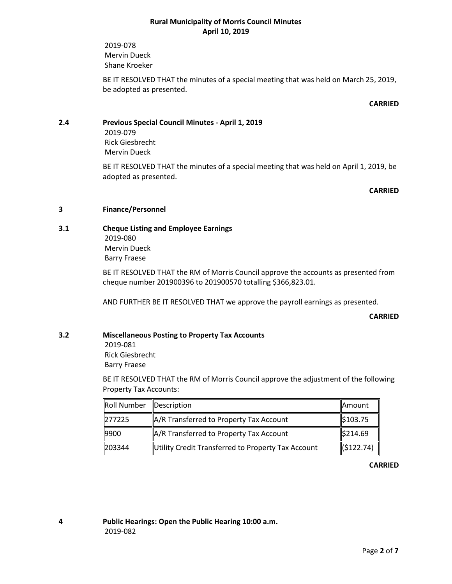2019-078 Mervin Dueck Shane Kroeker

BE IT RESOLVED THAT the minutes of a special meeting that was held on March 25, 2019, be adopted as presented.

#### **CARRIED**

# **2.4 Previous Special Council Minutes - April 1, 2019**

2019-079 Rick Giesbrecht Mervin Dueck

BE IT RESOLVED THAT the minutes of a special meeting that was held on April 1, 2019, be adopted as presented.

#### **CARRIED**

## **3 Finance/Personnel**

**3.1 Cheque Listing and Employee Earnings** 2019-080 Mervin Dueck Barry Fraese

> BE IT RESOLVED THAT the RM of Morris Council approve the accounts as presented from cheque number 201900396 to 201900570 totalling \$366,823.01.

AND FURTHER BE IT RESOLVED THAT we approve the payroll earnings as presented.

**CARRIED**

# **3.2 Miscellaneous Posting to Property Tax Accounts**

2019-081 Rick Giesbrecht Barry Fraese

BE IT RESOLVED THAT the RM of Morris Council approve the adjustment of the following Property Tax Accounts:

| Roll Number | Description                                         | Amount    |
|-------------|-----------------------------------------------------|-----------|
| 277225      | A/R Transferred to Property Tax Account             | \$103.75  |
| 9900        | $\parallel$ A/R Transferred to Property Tax Account | \$214.69  |
| 203344      | Utility Credit Transferred to Property Tax Account  | (5122.74) |

**CARRIED**

**4 Public Hearings: Open the Public Hearing 10:00 a.m.** 2019-082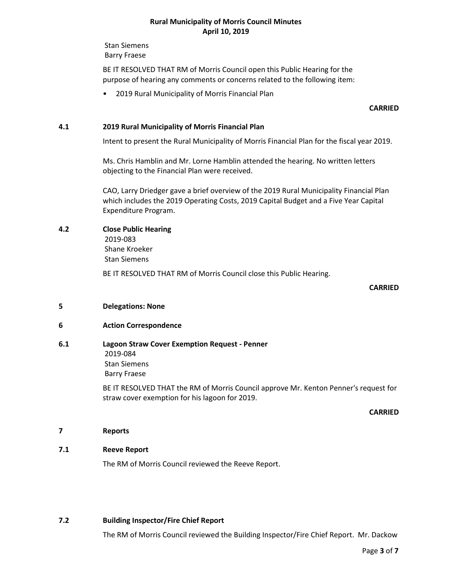Stan Siemens Barry Fraese

BE IT RESOLVED THAT RM of Morris Council open this Public Hearing for the purpose of hearing any comments or concerns related to the following item:

• 2019 Rural Municipality of Morris Financial Plan

#### **CARRIED**

#### **4.1 2019 Rural Municipality of Morris Financial Plan**

Intent to present the Rural Municipality of Morris Financial Plan for the fiscal year 2019.

Ms. Chris Hamblin and Mr. Lorne Hamblin attended the hearing. No written letters objecting to the Financial Plan were received.

CAO, Larry Driedger gave a brief overview of the 2019 Rural Municipality Financial Plan which includes the 2019 Operating Costs, 2019 Capital Budget and a Five Year Capital Expenditure Program.

#### **4.2 Close Public Hearing**

2019-083 Shane Kroeker

Stan Siemens

BE IT RESOLVED THAT RM of Morris Council close this Public Hearing.

#### **CARRIED**

#### **5 Delegations: None**

## **6 Action Correspondence**

## **6.1 Lagoon Straw Cover Exemption Request - Penner** 2019-084 Stan Siemens Barry Fraese

BE IT RESOLVED THAT the RM of Morris Council approve Mr. Kenton Penner's request for straw cover exemption for his lagoon for 2019.

#### **CARRIED**

#### **7 Reports**

#### **7.1 Reeve Report**

The RM of Morris Council reviewed the Reeve Report.

## **7.2 Building Inspector/Fire Chief Report**

The RM of Morris Council reviewed the Building Inspector/Fire Chief Report. Mr. Dackow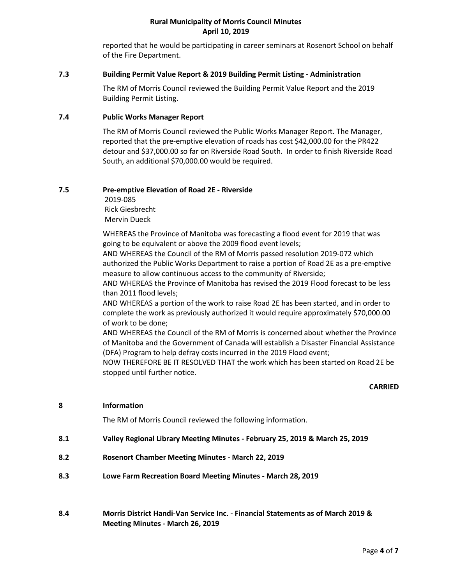reported that he would be participating in career seminars at Rosenort School on behalf of the Fire Department.

#### **7.3 Building Permit Value Report & 2019 Building Permit Listing - Administration**

The RM of Morris Council reviewed the Building Permit Value Report and the 2019 Building Permit Listing.

## **7.4 Public Works Manager Report**

The RM of Morris Council reviewed the Public Works Manager Report. The Manager, reported that the pre-emptive elevation of roads has cost \$42,000.00 for the PR422 detour and \$37,000.00 so far on Riverside Road South. In order to finish Riverside Road South, an additional \$70,000.00 would be required.

## **7.5 Pre-emptive Elevation of Road 2E - Riverside**

2019-085 Rick Giesbrecht Mervin Dueck

WHEREAS the Province of Manitoba was forecasting a flood event for 2019 that was going to be equivalent or above the 2009 flood event levels;

AND WHEREAS the Council of the RM of Morris passed resolution 2019-072 which authorized the Public Works Department to raise a portion of Road 2E as a pre-emptive measure to allow continuous access to the community of Riverside;

AND WHEREAS the Province of Manitoba has revised the 2019 Flood forecast to be less than 2011 flood levels;

AND WHEREAS a portion of the work to raise Road 2E has been started, and in order to complete the work as previously authorized it would require approximately \$70,000.00 of work to be done;

AND WHEREAS the Council of the RM of Morris is concerned about whether the Province of Manitoba and the Government of Canada will establish a Disaster Financial Assistance (DFA) Program to help defray costs incurred in the 2019 Flood event;

NOW THEREFORE BE IT RESOLVED THAT the work which has been started on Road 2E be stopped until further notice.

## **CARRIED**

## **8 Information**

The RM of Morris Council reviewed the following information.

- **8.1 Valley Regional Library Meeting Minutes - February 25, 2019 & March 25, 2019**
- **8.2 Rosenort Chamber Meeting Minutes - March 22, 2019**
- **8.3 Lowe Farm Recreation Board Meeting Minutes - March 28, 2019**
- **8.4 Morris District Handi-Van Service Inc. - Financial Statements as of March 2019 & Meeting Minutes - March 26, 2019**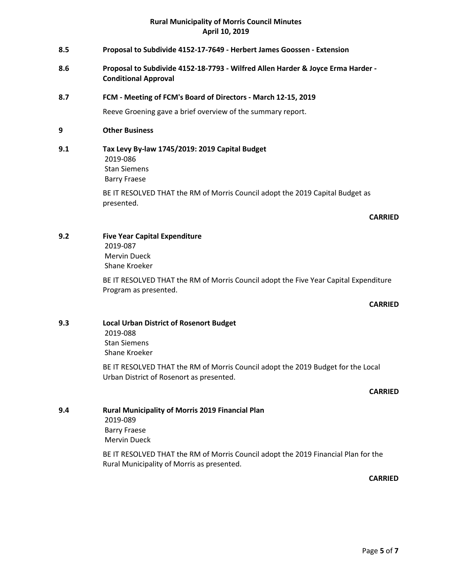- **8.5 Proposal to Subdivide 4152-17-7649 - Herbert James Goossen - Extension**
- **8.6 Proposal to Subdivide 4152-18-7793 - Wilfred Allen Harder & Joyce Erma Harder - Conditional Approval**

# **8.7 FCM - Meeting of FCM's Board of Directors - March 12-15, 2019**

Reeve Groening gave a brief overview of the summary report.

**9 Other Business**

# **9.1 Tax Levy By-law 1745/2019: 2019 Capital Budget** 2019-086 Stan Siemens Barry Fraese

BE IT RESOLVED THAT the RM of Morris Council adopt the 2019 Capital Budget as presented.

#### **CARRIED**

# **9.2 Five Year Capital Expenditure**

2019-087 Mervin Dueck Shane Kroeker

BE IT RESOLVED THAT the RM of Morris Council adopt the Five Year Capital Expenditure Program as presented.

## **CARRIED**

#### **9.3 Local Urban District of Rosenort Budget** 2019-088

Stan Siemens Shane Kroeker

BE IT RESOLVED THAT the RM of Morris Council adopt the 2019 Budget for the Local Urban District of Rosenort as presented.

#### **CARRIED**

**9.4 Rural Municipality of Morris 2019 Financial Plan** 2019-089 Barry Fraese Mervin Dueck

> BE IT RESOLVED THAT the RM of Morris Council adopt the 2019 Financial Plan for the Rural Municipality of Morris as presented.

*CARRIED*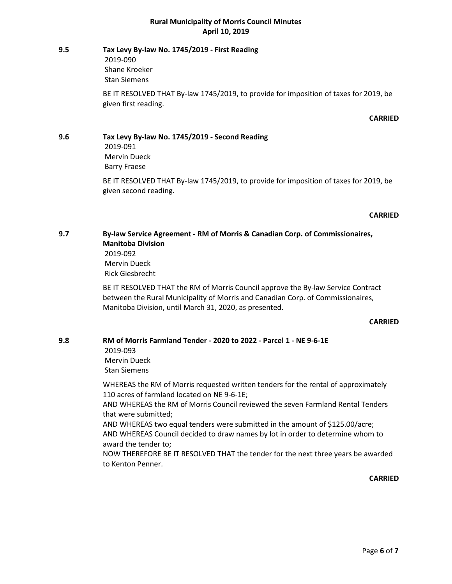## **9.5 Tax Levy By-law No. 1745/2019 - First Reading** 2019-090 Shane Kroeker

Stan Siemens

BE IT RESOLVED THAT By-law 1745/2019, to provide for imposition of taxes for 2019, be given first reading.

#### **CARRIED**

# **9.6 Tax Levy By-law No. 1745/2019 - Second Reading** 2019-091 Mervin Dueck Barry Fraese

BE IT RESOLVED THAT By-law 1745/2019, to provide for imposition of taxes for 2019, be given second reading.

#### **CARRIED**

# **9.7 By-law Service Agreement - RM of Morris & Canadian Corp. of Commissionaires, Manitoba Division**

2019-092 Mervin Dueck Rick Giesbrecht

BE IT RESOLVED THAT the RM of Morris Council approve the By-law Service Contract between the Rural Municipality of Morris and Canadian Corp. of Commissionaires, Manitoba Division, until March 31, 2020, as presented.

## **CARRIED**

# **9.8 RM of Morris Farmland Tender - 2020 to 2022 - Parcel 1 - NE 9-6-1E**

2019-093 Mervin Dueck Stan Siemens

WHEREAS the RM of Morris requested written tenders for the rental of approximately 110 acres of farmland located on NE 9-6-1E;

AND WHEREAS the RM of Morris Council reviewed the seven Farmland Rental Tenders that were submitted;

AND WHEREAS two equal tenders were submitted in the amount of \$125.00/acre; AND WHEREAS Council decided to draw names by lot in order to determine whom to award the tender to;

NOW THEREFORE BE IT RESOLVED THAT the tender for the next three years be awarded to Kenton Penner.

#### **CARRIED**